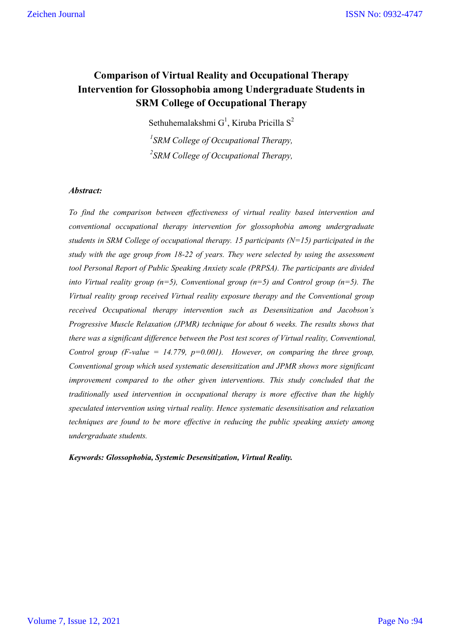## **Comparison of Virtual Reality and Occupational Therapy Intervention for Glossophobia among Undergraduate Students in SRM College of Occupational Therapy**

Sethuhemalakshmi  $G^1$ , Kiruba Pricilla S<sup>2</sup>

*1 SRM College of Occupational Therapy, 2 SRM College of Occupational Therapy,*

## *Abstract:*

*To find the comparison between effectiveness of virtual reality based intervention and conventional occupational therapy intervention for glossophobia among undergraduate students in SRM College of occupational therapy. 15 participants (N=15) participated in the study with the age group from 18-22 of years. They were selected by using the assessment tool Personal Report of Public Speaking Anxiety scale (PRPSA). The participants are divided into Virtual reality group (n=5), Conventional group (n=5) and Control group (n=5). The Virtual reality group received Virtual reality exposure therapy and the Conventional group received Occupational therapy intervention such as Desensitization and Jacobson's Progressive Muscle Relaxation (JPMR) technique for about 6 weeks. The results shows that there was a significant difference between the Post test scores of Virtual reality, Conventional, Control group (F-value = 14.779, p=0.001). However, on comparing the three group, Conventional group which used systematic desensitization and JPMR shows more significant improvement compared to the other given interventions. This study concluded that the traditionally used intervention in occupational therapy is more effective than the highly speculated intervention using virtual reality. Hence systematic desensitisation and relaxation techniques are found to be more effective in reducing the public speaking anxiety among undergraduate students.*

*Keywords: Glossophobia, Systemic Desensitization, Virtual Reality.*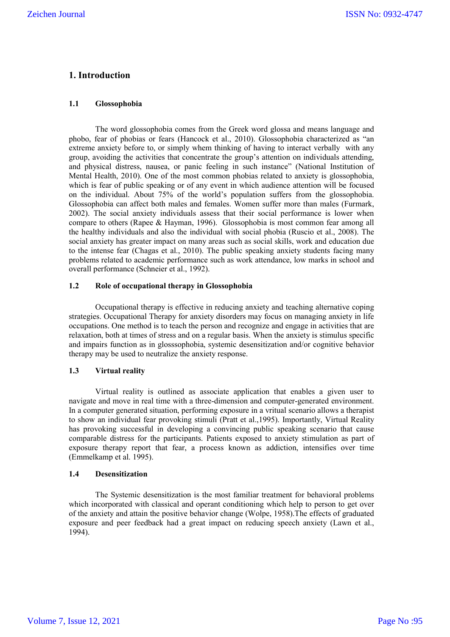## **1. Introduction**

#### **1.1 Glossophobia**

The word glossophobia comes from the Greek word glossa and means language and phobo, fear of phobias or fears (Hancock et al., 2010). Glossophobia characterized as "an extreme anxiety before to, or simply whem thinking of having to interact verbally with any group, avoiding the activities that concentrate the group's attention on individuals attending, and physical distress, nausea, or panic feeling in such instance" (National Institution of Mental Health, 2010). One of the most common phobias related to anxiety is glossophobia, which is fear of public speaking or of any event in which audience attention will be focused on the individual. About 75% of the world's population suffers from the glossophobia. Glossophobia can affect both males and females. Women suffer more than males (Furmark, 2002). The social anxiety individuals assess that their social performance is lower when compare to others (Rapee & Hayman, 1996). Glossophobia is most common fear among all the healthy individuals and also the individual with social phobia (Ruscio et al., 2008). The social anxiety has greater impact on many areas such as social skills, work and education due to the intense fear (Chagas et al., 2010). The public speaking anxiety students facing many problems related to academic performance such as work attendance, low marks in school and overall performance (Schneier et al., 1992).

#### **1.2 Role of occupational therapy in Glossophobia**

Occupational therapy is effective in reducing anxiety and teaching alternative coping strategies. Occupational Therapy for anxiety disorders may focus on managing anxiety in life occupations. One method is to teach the person and recognize and engage in activities that are relaxation, both at times of stress and on a regular basis. When the anxiety is stimulus specific and impairs function as in glosssophobia, systemic desensitization and/or cognitive behavior therapy may be used to neutralize the anxiety response.

## **1.3 Virtual reality**

Virtual reality is outlined as associate application that enables a given user to navigate and move in real time with a three-dimension and computer-generated environment. In a computer generated situation, performing exposure in a vritual scenario allows a therapist to show an individual fear provoking stimuli (Pratt et al.,1995). Importantly, Virtual Reality has provoking successful in developing a convincing public speaking scenario that cause comparable distress for the participants. Patients exposed to anxiety stimulation as part of exposure therapy report that fear, a process known as addiction, intensifies over time (Emmelkamp et al. 1995).

#### **1.4 Desensitization**

The Systemic desensitization is the most familiar treatment for behavioral problems which incorporated with classical and operant conditioning which help to person to get over of the anxiety and attain the positive behavior change (Wolpe, 1958).The effects of graduated exposure and peer feedback had a great impact on reducing speech anxiety (Lawn et al., 1994).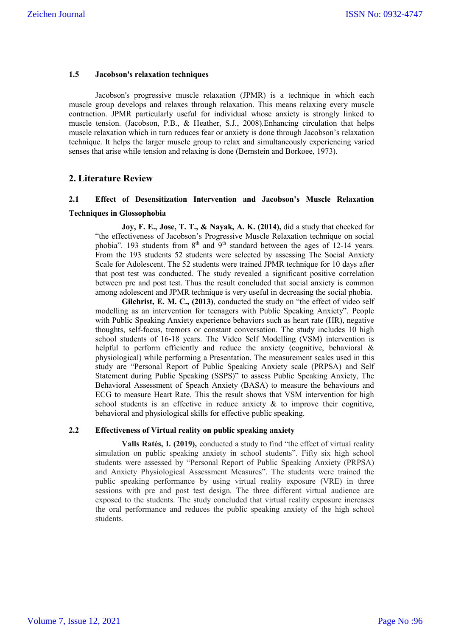#### **1.5 Jacobson's relaxation techniques**

Jacobson's progressive muscle relaxation (JPMR) is a technique in which each muscle group develops and relaxes through relaxation. This means relaxing every muscle contraction. JPMR particularly useful for individual whose anxiety is strongly linked to muscle tension. (Jacobson, P.B., & Heather, S.J., 2008).Enhancing circulation that helps muscle relaxation which in turn reduces fear or anxiety is done through Jacobson's relaxation technique. It helps the larger muscle group to relax and simultaneously experiencing varied senses that arise while tension and relaxing is done (Bernstein and Borkoee, 1973).

## **2. Literature Review**

## **2.1 Effect of Desensitization Intervention and Jacobson's Muscle Relaxation Techniques in Glossophobia**

**Joy, F. E., Jose, T. T., & Nayak, A. K. (2014),** did a study that checked for "the effectiveness of Jacobson's Progressive Muscle Relaxation technique on social phobia". 193 students from  $8<sup>th</sup>$  and  $9<sup>th</sup>$  standard between the ages of 12-14 years. From the 193 students 52 students were selected by assessing The Social Anxiety Scale for Adolescent. The 52 students were trained JPMR technique for 10 days after that post test was conducted. The study revealed a significant positive correlation between pre and post test. Thus the result concluded that social anxiety is common among adolescent and JPMR technique is very useful in decreasing the social phobia.

**Gilchrist, E. M. C., (2013)**, conducted the study on "the effect of video self modelling as an intervention for teenagers with Public Speaking Anxiety". People with Public Speaking Anxiety experience behaviors such as heart rate (HR), negative thoughts, self-focus, tremors or constant conversation. The study includes 10 high school students of 16-18 years. The Video Self Modelling (VSM) intervention is helpful to perform efficiently and reduce the anxiety (cognitive, behavioral & physiological) while performing a Presentation. The measurement scales used in this study are "Personal Report of Public Speaking Anxiety scale (PRPSA) and Self Statement during Public Speaking (SSPS)" to assess Public Speaking Anxiety, The Behavioral Assessment of Speach Anxiety (BASA) to measure the behaviours and ECG to measure Heart Rate. This the result shows that VSM intervention for high school students is an effective in reduce anxiety  $\⊂>$  to improve their cognitive, behavioral and physiological skills for effective public speaking.

## **2.2 Effectiveness of Virtual reality on public speaking anxiety**

**Valls Ratés, I. (2019),** conducted a study to find "the effect of virtual reality simulation on public speaking anxiety in school students". Fifty six high school students were assessed by "Personal Report of Public Speaking Anxiety (PRPSA) and Anxiety Physiological Assessment Measures". The students were trained the public speaking performance by using virtual reality exposure (VRE) in three sessions with pre and post test design. The three different virtual audience are exposed to the students. The study concluded that virtual reality exposure increases the oral performance and reduces the public speaking anxiety of the high school students.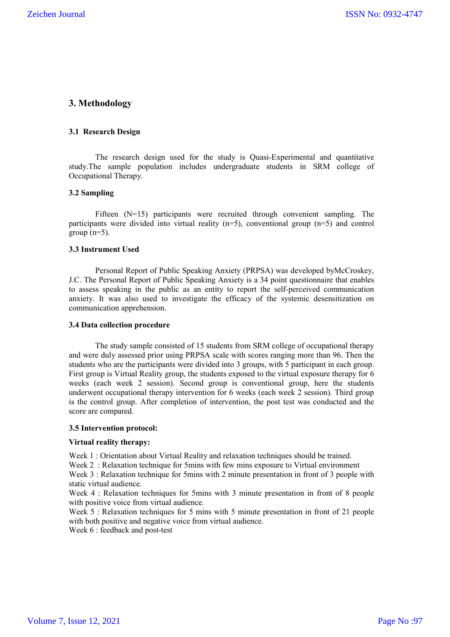## **3. Methodology**

#### **3.1 Research Design**

The research design used for the study is Quasi-Experimental and quantitative study.The sample population includes undergraduate students in SRM college of Occupational Therapy.

#### **3.2 Sampling**

Fifteen (N=15) participants were recruited through convenient sampling. The participants were divided into virtual reality  $(n=5)$ , conventional group  $(n=5)$  and control group  $(n=5)$ .

#### **3.3 Instrument Used**

Personal Report of Public Speaking Anxiety (PRPSA) was developed byMcCroskey, J.C. The Personal Report of Public Speaking Anxiety is a 34 point questionnaire that enables to assess speaking in the public as an entity to report the self-perceived communication anxiety. It was also used to investigate the efficacy of the systemic desensitization on communication apprehension.

#### **3.4 Data collection procedure**

The study sample consisted of 15 students from SRM college of occupational therapy and were duly assessed prior using PRPSA scale with scores ranging more than 96. Then the students who are the participants were divided into 3 groups, with 5 participant in each group. First group is Virtual Reality group, the students exposed to the virtual exposure therapy for 6 weeks (each week 2 session). Second group is conventional group, here the students underwent occupational therapy intervention for 6 weeks (each week 2 session). Third group is the control group. After completion of intervention, the post test was conducted and the score are compared.

#### **3.5 Intervention protocol:**

#### **Virtual reality therapy:**

Week 1 : Orientation about Virtual Reality and relaxation techniques should be trained.

Week 2: Relaxation technique for 5mins with few mins exposure to Virtual environment

Week 3 : Relaxation technique for 5mins with 2 minute presentation in front of 3 people with static virtual audience.

Week 4 : Relaxation techniques for 5mins with 3 minute presentation in front of 8 people with positive voice from virtual audience.

Week 5 : Relaxation techniques for 5 mins with 5 minute presentation in front of 21 people with both positive and negative voice from virtual audience.

Week 6 : feedback and post-test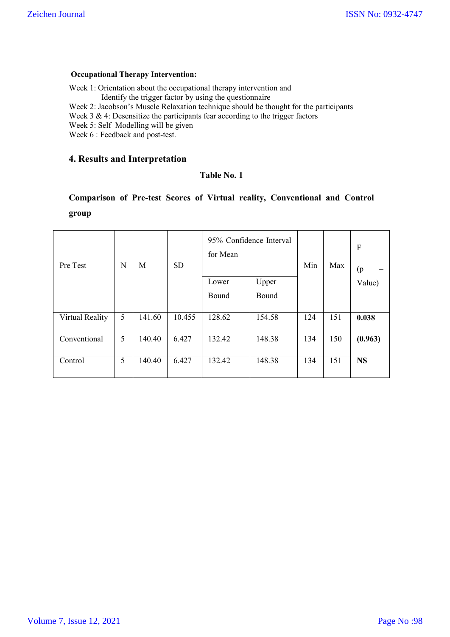## **Occupational Therapy Intervention:**

Week 1: Orientation about the occupational therapy intervention and

Identify the trigger factor by using the questionnaire

Week 2: Jacobson's Muscle Relaxation technique should be thought for the participants

Week 3 & 4: Desensitize the participants fear according to the trigger factors

Week 5: Self Modelling will be given

Week 6 : Feedback and post-test.

## **4. Results and Interpretation**

## **Table No. 1**

## **Comparison of Pre-test Scores of Virtual reality, Conventional and Control group**

| Pre Test        | N | M      | <b>SD</b> | 95% Confidence Interval<br>for Mean |        | Min | Max | $\mathbf F$<br>(p) |
|-----------------|---|--------|-----------|-------------------------------------|--------|-----|-----|--------------------|
|                 |   |        |           | Lower                               | Upper  |     |     | Value)             |
|                 |   |        |           | Bound                               | Bound  |     |     |                    |
| Virtual Reality | 5 | 141.60 | 10.455    | 128.62                              | 154.58 | 124 | 151 | 0.038              |
| Conventional    | 5 | 140.40 | 6.427     | 132.42                              | 148.38 | 134 | 150 | (0.963)            |
| Control         | 5 | 140.40 | 6.427     | 132.42                              | 148.38 | 134 | 151 | <b>NS</b>          |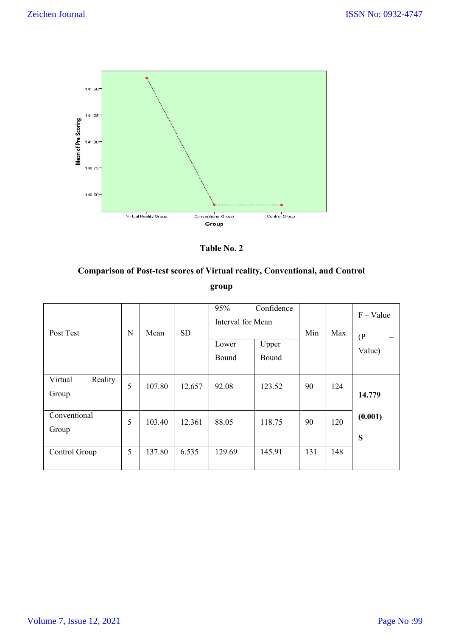

**Table No. 2**

# **Comparison of Post-test scores of Virtual reality, Conventional, and Control group**

| Post Test                   | $\mathbf N$ | Mean   | <b>SD</b> | 95%<br>Interval for Mean<br>Lower<br>Bound | Confidence<br>Upper<br>Bound | Min | Max | $F - Value$<br>$($ P<br>Value) |
|-----------------------------|-------------|--------|-----------|--------------------------------------------|------------------------------|-----|-----|--------------------------------|
| Reality<br>Virtual<br>Group | 5           | 107.80 | 12.657    | 92.08                                      | 123.52                       | 90  | 124 | 14.779                         |
| Conventional<br>Group       | 5           | 103.40 | 12.361    | 88.05                                      | 118.75                       | 90  | 120 | (0.001)<br>S                   |
| Control Group               | 5           | 137.80 | 6.535     | 129.69                                     | 145.91                       | 131 | 148 |                                |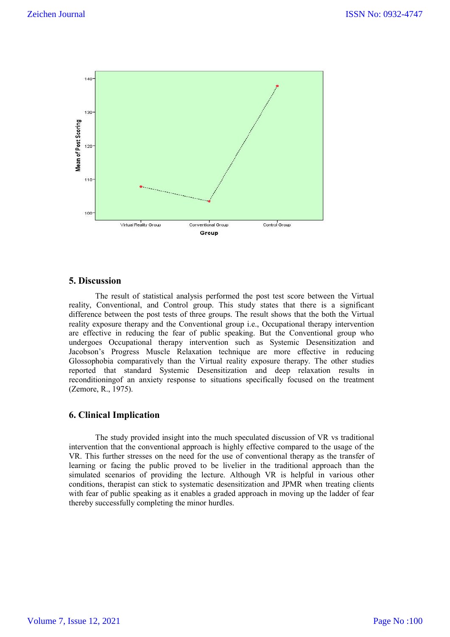

## **5. Discussion**

The result of statistical analysis performed the post test score between the Virtual reality, Conventional, and Control group. This study states that there is a significant difference between the post tests of three groups. The result shows that the both the Virtual reality exposure therapy and the Conventional group i.e., Occupational therapy intervention are effective in reducing the fear of public speaking. But the Conventional group who undergoes Occupational therapy intervention such as Systemic Desensitization and Jacobson's Progress Muscle Relaxation technique are more effective in reducing Glossophobia comparatively than the Virtual reality exposure therapy. The other studies reported that standard Systemic Desensitization and deep relaxation results in reconditioningof an anxiety response to situations specifically focused on the treatment (Zemore, R., 1975).

## **6. Clinical Implication**

The study provided insight into the much speculated discussion of VR vs traditional intervention that the conventional approach is highly effective compared to the usage of the VR. This further stresses on the need for the use of conventional therapy as the transfer of learning or facing the public proved to be livelier in the traditional approach than the simulated scenarios of providing the lecture. Although VR is helpful in various other conditions, therapist can stick to systematic desensitization and JPMR when treating clients with fear of public speaking as it enables a graded approach in moving up the ladder of fear thereby successfully completing the minor hurdles.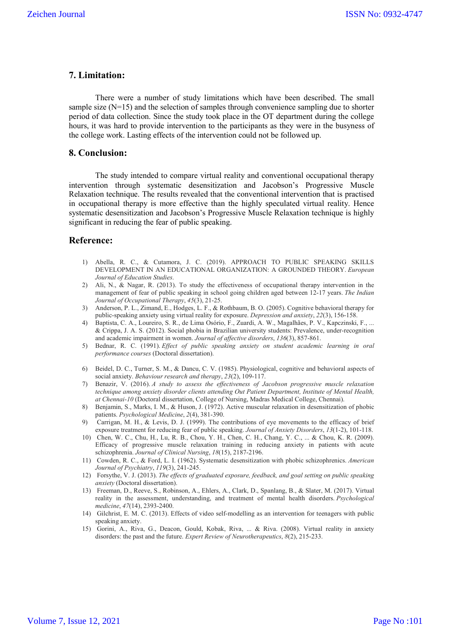## **7. Limitation:**

There were a number of study limitations which have been described. The small sample size (N=15) and the selection of samples through convenience sampling due to shorter period of data collection. Since the study took place in the OT department during the college hours, it was hard to provide intervention to the participants as they were in the busyness of the college work. Lasting effects of the intervention could not be followed up.

#### **8. Conclusion:**

The study intended to compare virtual reality and conventional occupational therapy intervention through systematic desensitization and Jacobson's Progressive Muscle Relaxation technique. The results revealed that the conventional intervention that is practised in occupational therapy is more effective than the highly speculated virtual reality. Hence systematic desensitization and Jacobson's Progressive Muscle Relaxation technique is highly significant in reducing the fear of public speaking.

#### **Reference:**

- 1) Abella, R. C., & Cutamora, J. C. (2019). APPROACH TO PUBLIC SPEAKING SKILLS DEVELOPMENT IN AN EDUCATIONAL ORGANIZATION: A GROUNDED THEORY. *European Journal of Education Studies*.
- 2) Ali, N., & Nagar, R. (2013). To study the effectiveness of occupational therapy intervention in the management of fear of public speaking in school going children aged between 12-17 years. *The Indian Journal of Occupational Therapy*, *45*(3), 21-25.
- 3) Anderson, P. L., Zimand, E., Hodges, L. F., & Rothbaum, B. O. (2005). Cognitive behavioral therapy for public‐speaking anxiety using virtual reality for exposure. *Depression and anxiety*, *22*(3), 156-158.
- 4) Baptista, C. A., Loureiro, S. R., de Lima Osório, F., Zuardi, A. W., Magalhães, P. V., Kapczinski, F., ... & Crippa, J. A. S. (2012). Social phobia in Brazilian university students: Prevalence, under-recognition and academic impairment in women. *Journal of affective disorders*, *136*(3), 857-861.
- 5) Bednar, R. C. (1991). *Effect of public speaking anxiety on student academic learning in oral performance courses* (Doctoral dissertation).
- 6) Beidel, D. C., Turner, S. M., & Dancu, C. V. (1985). Physiological, cognitive and behavioral aspects of social anxiety. *Behaviour research and therapy*, *23*(2), 109-117.
- 7) Benazir, V. (2016). *A study to assess the effectiveness of Jacobson progressive muscle relaxation technique among anxiety disorder clients attending Out Patient Department, Institute of Mental Health, at Chennai-10* (Doctoral dissertation, College of Nursing, Madras Medical College, Chennai).
- 8) Benjamin, S., Marks, I. M., & Huson, J. (1972). Active muscular relaxation in desensitization of phobic patients. *Psychological Medicine*, *2*(4), 381-390.
- 9) Carrigan, M. H., & Levis, D. J. (1999). The contributions of eye movements to the efficacy of brief exposure treatment for reducing fear of public speaking. *Journal of Anxiety Disorders*, *13*(1-2), 101-118.
- 10) Chen, W. C., Chu, H., Lu, R. B., Chou, Y. H., Chen, C. H., Chang, Y. C., ... & Chou, K. R. (2009). Efficacy of progressive muscle relaxation training in reducing anxiety in patients with acute schizophrenia. *Journal of Clinical Nursing*, *18*(15), 2187-2196.
- 11) Cowden, R. C., & Ford, L. I. (1962). Systematic desensitization with phobic schizophrenics. *American Journal of Psychiatry*, *119*(3), 241-245.
- 12) Forsythe, V. J. (2013). *The effects of graduated exposure, feedback, and goal setting on public speaking anxiety* (Doctoral dissertation).
- 13) Freeman, D., Reeve, S., Robinson, A., Ehlers, A., Clark, D., Spanlang, B., & Slater, M. (2017). Virtual reality in the assessment, understanding, and treatment of mental health disorders. *Psychological medicine*, *47*(14), 2393-2400.
- 14) Gilchrist, E. M. C. (2013). Effects of video self-modelling as an intervention for teenagers with public speaking anxiety.
- 15) Gorini, A., Riva, G., Deacon, Gould, Kobak, Riva, ... & Riva. (2008). Virtual reality in anxiety disorders: the past and the future. *Expert Review of Neurotherapeutics*, *8*(2), 215-233.